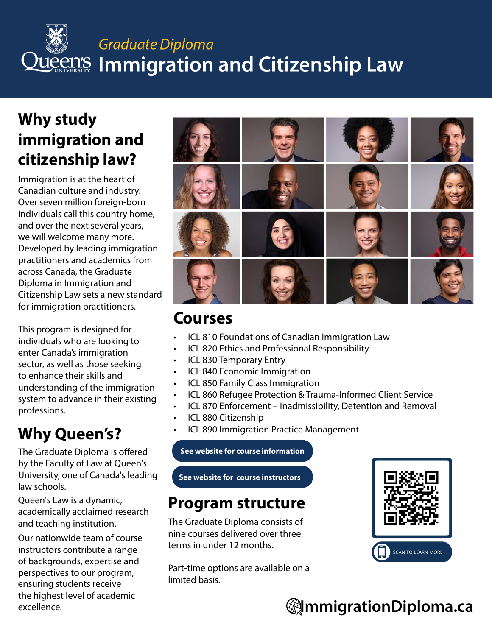## **Graduate Diploma LUCCIN'S Immigration and Citizenship Law**

#### **Why study immigration and citizenship law?**

Immigration is at the heart of Canadian culture and industry. Over seven million foreign-born individuals call this country home, and over the next several years, we will welcome many more. Developed by leading immigration practitioners and academics from across Canada, the Graduate Diploma in Immigration and Citizenship Law sets a new standard for immigration practitioners.

This program is designed for individuals who are looking to enter Canada's immigration sector, as well as those seeking to enhance their skills and understanding of the immigration system to advance in their existing professions.

### **Why Queen's?**

The Graduate Diploma is offered by the Faculty of Law at Queen's University, one of Canada's leading law schools.

Queen's Law is a dynamic, academically acclaimed research and teaching institution.

Our nationwide team of course instructors contribute a range of backgrounds, expertise and perspectives to our program, ensuring students receive the highest level of academic excellence.



#### **Courses**

- ICL 810 Foundations of Canadian Immigration Law
- ICL 820 Ethics and Professional Responsibility
- ICL 830 Temporary Entry
- ICL 840 Economic Immigration
- ICL 850 Family Class Immigration
- ICL 860 Refugee Protection & Trauma-Informed Client Service
- ICL 870 Enforcement Inadmissibility, Detention and Removal
- ICL 880 Citizenship
- ICL 890 Immigration Practice Management

**[See website for course information](http://www.immigrationdiploma.ca)**

**[See website for course instructors](https://immigrationdiploma.queenslaw.ca/Course-Instructors)**

#### **Program structure**

The Graduate Diploma consists of nine courses delivered over three terms in under 12 months.

Part-time options are available on a limited basis.



### **ImmigrationDiploma.ca**